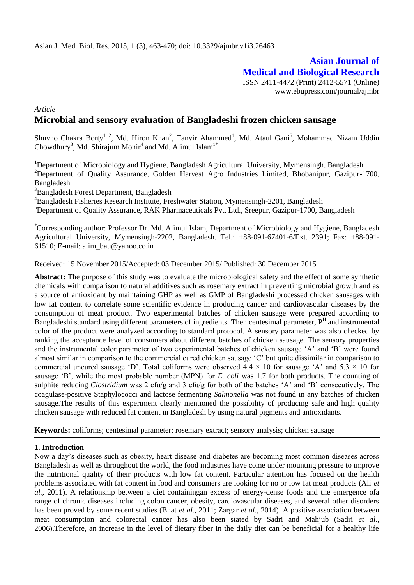# **Asian Journal of Medical and Biological Research**

ISSN 2411-4472 (Print) 2412-5571 (Online) www.ebupress.com/journal/ajmbr

*Article*

## **Microbial and sensory evaluation of Bangladeshi frozen chicken sausage**

Shuvho Chakra Borty<sup>1, 2</sup>, Md. Hiron Khan<sup>2</sup>, Tanvir Ahammed<sup>1</sup>, Md. Ataul Gani<sup>5</sup>, Mohammad Nizam Uddin Chowdhury<sup>3</sup>, Md. Shirajum Monir<sup>4</sup> and Md. Alimul Islam<sup>1\*</sup>

<sup>1</sup>Department of Microbiology and Hygiene, Bangladesh Agricultural University, Mymensingh, Bangladesh <sup>2</sup>Department of Quality Assurance, Golden Harvest Agro Industries Limited, Bhobanipur, Gazipur-1700, Bangladesh

<sup>3</sup>Bangladesh Forest Department, Bangladesh

<sup>4</sup>Bangladesh Fisheries Research Institute, Freshwater Station, Mymensingh-2201, Bangladesh

<sup>5</sup>Department of Quality Assurance, RAK Pharmaceuticals Pvt. Ltd., Sreepur, Gazipur-1700, Bangladesh

\*Corresponding author: Professor Dr. Md. Alimul Islam, Department of Microbiology and Hygiene, Bangladesh Agricultural University, Mymensingh-2202, Bangladesh. Tel.: +88-091-67401-6/Ext. 2391; Fax: +88-091- 61510; E-mail: [alim\\_bau@yahoo.co.in](mailto:alim_bau@yahoo.co.in)

Received: 15 November 2015/Accepted: 03 December 2015/ Published: 30 December 2015

**Abstract:** The purpose of this study was to evaluate the microbiological safety and the effect of some synthetic chemicals with comparison to natural additives such as rosemary extract in preventing microbial growth and as a source of antioxidant by maintaining GHP as well as GMP of Bangladeshi processed chicken sausages with low fat content to correlate some scientific evidence in producing cancer and cardiovascular diseases by the consumption of meat product. Two experimental batches of chicken sausage were prepared according to Bangladeshi standard using different parameters of ingredients. Then centesimal parameter,  $P<sup>H</sup>$  and instrumental color of the product were analyzed according to standard protocol. A sensory parameter was also checked by ranking the acceptance level of consumers about different batches of chicken sausage. The sensory properties and the instrumental color parameter of two experimental batches of chicken sausage 'A' and 'B' were found almost similar in comparison to the commercial cured chicken sausage 'C' but quite dissimilar in comparison to commercial uncured sausage 'D'. Total coliforms were observed  $4.4 \times 10$  for sausage 'A' and  $5.3 \times 10$  for sausage 'B', while the most probable number (MPN) for *E. coli* was 1.7 for both products. The counting of sulphite reducing *Clostridium* was 2 cfu/g and 3 cfu/g for both of the batches 'A' and 'B' consecutively. The coagulase-positive Staphylococci and lactose fermenting *Salmonella* was not found in any batches of chicken sausage.The results of this experiment clearly mentioned the possibility of producing safe and high quality chicken sausage with reduced fat content in Bangladesh by using natural pigments and antioxidants.

**Keywords:** coliforms; centesimal parameter; rosemary extract; sensory analysis; chicken sausage

#### **1. Introduction**

Now a day's diseases such as obesity, heart disease and diabetes are becoming most common diseases across Bangladesh as well as throughout the world, the food industries have come under mounting pressure to improve the nutritional quality of their products with low fat content. Particular attention has focused on the health problems associated with fat content in food and consumers are looking for no or low fat meat products (Ali *et al.,* 2011). A relationship between a diet containingan excess of energy-dense foods and the emergence ofa range of chronic diseases including colon cancer, obesity, cardiovascular diseases, and several other disorders has been proved by some recent studies (Bhat *et al.,* 2011; Zargar *et al.,* 2014). A positive association between meat consumption and colorectal cancer has also been stated by Sadri and Mahjub (Sadri *et al.,*  2006).Therefore, an increase in the level of dietary fiber in the daily diet can be beneficial for a healthy life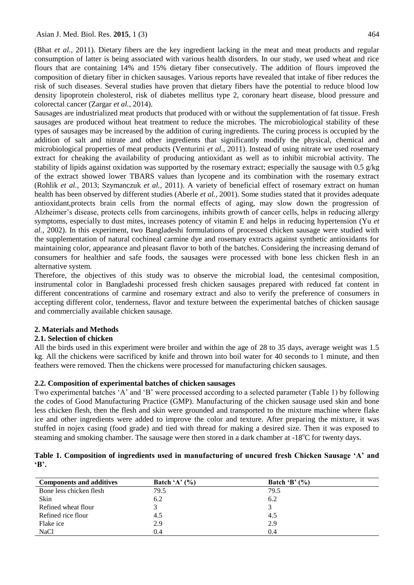Asian J. Med. Biol. Res. **2015**, 1 (3) 464

(Bhat *et al.,* 2011). Dietary fibers are the key ingredient lacking in the meat and meat products and regular consumption of latter is being associated with various health disorders. In our study, we used wheat and rice flours that are containing 14% and 15% dietary fiber consecutively. The addition of flours improved the composition of dietary fiber in chicken sausages. Various reports have revealed that intake of fiber reduces the risk of such diseases. Several studies have proven that dietary fibers have the potential to reduce blood low density lipoprotein cholesterol, risk of diabetes mellitus type 2, coronary heart disease, blood pressure and colorectal cancer (Zargar *et al.,* 2014).

Sausages are industrialized meat products that produced with or without the supplementation of fat tissue. Fresh sausages are produced without heat treatment to reduce the microbes. The microbiological stability of these types of sausages may be increased by the addition of curing ingredients. The curing process is occupied by the addition of salt and nitrate and other ingredients that significantly modify the physical, chemical and microbiological properties of meat products (Venturini *et al.,* 2011). Instead of using nitrate we used rosemary extract for cheaking the availability of producing antioxidant as well as to inhibit microbial activity. The stability of lipids against oxidation was supported by the rosemary extract; especially the sausage with 0.5 g/kg of the extract showed lower TBARS values than lycopene and its combination with the rosemary extract (Rohlik *et al.,* 2013; Szymanczuk *et al.,* 2011). A variety of beneficial effect of rosemary extract on human health has been observed by different studies (Aberle *et al.,* 2001). Some studies stated that it provides adequate antioxidant,protects brain cells from the normal effects of aging, may slow down the progression of Alzheimer's disease, protects cells from carcinogens, inhibits growth of cancer cells, helps in reducing allergy symptoms, especially to dust mites, increases potency of vitamin E and helps in reducing hypertension (Yu *et al.,* 2002). In this experiment, two Bangladeshi formulations of processed chicken sausage were studied with the supplementation of natural cochineal carmine dye and rosemary extracts against synthetic antioxidants for maintaining color, appearance and pleasant flavor to both of the batches. Considering the increasing demand of consumers for healthier and safe foods, the sausages were processed with bone less chicken flesh in an alternative system.

Therefore, the objectives of this study was to observe the microbial load, the centesimal composition, instrumental color in Bangladeshi processed fresh chicken sausages prepared with reduced fat content in different concentrations of carmine and rosemary extract and also to verify the preference of consumers in accepting different color, tenderness, flavor and texture between the experimental batches of chicken sausage and commercially available chicken sausage.

## **2. Materials and Methods**

## **2.1. Selection of chicken**

All the birds used in this experiment were broiler and within the age of 28 to 35 days, average weight was 1.5 kg. All the chickens were sacrificed by knife and thrown into boil water for 40 seconds to 1 minute, and then feathers were removed. Then the chickens were processed for manufacturing chicken sausages.

## **2.2. Composition of experimental batches of chicken sausages**

Two experimental batches 'A' and 'B' were processed according to a selected parameter (Table 1) by following the codes of Good Manufacturing Practice (GMP). Manufacturing of the chicken sausage used skin and bone less chicken flesh, then the flesh and skin were grounded and transported to the mixture machine where flake ice and other ingredients were added to improve the color and texture. After preparing the mixture, it was stuffed in nojex casing (food grade) and tied with thread for making a desired size. Then it was exposed to steaming and smoking chamber. The sausage were then stored in a dark chamber at -18<sup>o</sup>C for twenty days.

|              | Table 1. Composition of ingredients used in manufacturing of uncured fresh Chicken Sausage 'A' and |  |  |  |  |  |
|--------------|----------------------------------------------------------------------------------------------------|--|--|--|--|--|
| $\mathbf{B}$ |                                                                                                    |  |  |  |  |  |

| <b>Components and additives</b> | Batch 'A' $(\% )$ | Batch 'B' $(\% )$ |
|---------------------------------|-------------------|-------------------|
| Bone less chicken flesh         | 79.5              | 79.5              |
| Skin                            | 6.2               | 6.2               |
| Refined wheat flour             |                   |                   |
| Refined rice flour              | 4.5               | 4.5               |
| Flake ice                       | 2.9               | 2.9               |
| <b>NaCl</b>                     | 0.4               | (0.4)             |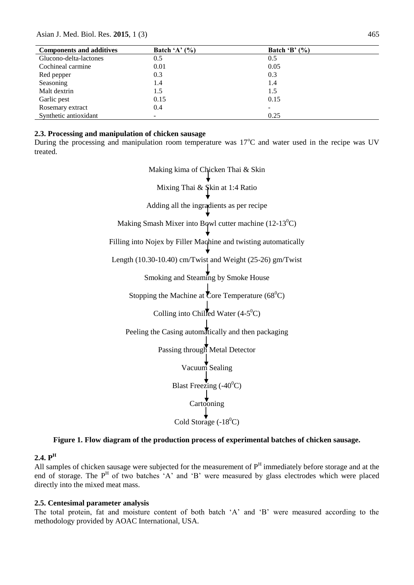Asian J. Med. Biol. Res. **2015**, 1 (3) 465

| <b>Components and additives</b> | Batch 'A' $(\% )$ | Batch 'B' $(\% )$ |
|---------------------------------|-------------------|-------------------|
| Glucono-delta-lactones          | 0.5               | 0.5               |
| Cochineal carmine               | 0.01              | 0.05              |
| Red pepper                      | 0.3               | 0.3               |
| Seasoning                       | 1.4               | 1.4               |
| Malt dextrin                    | 1.5               | 1.5               |
| Garlic pest                     | 0.15              | 0.15              |
| Rosemary extract                | 0.4               |                   |
| Synthetic antioxidant           | -                 | 0.25              |

#### **2.3. Processing and manipulation of chicken sausage**

During the processing and manipulation room temperature was  $17^{\circ}$ C and water used in the recipe was UV treated.

> Making kima of Chicken Thai & Skin Mixing Thai & Skin at 1:4 Ratio Adding all the ingradients as per recipe Making Smash Mixer into Bowl cutter machine  $(12-13^0C)$ Filling into Nojex by Filler Machine and twisting automatically Length (10.30-10.40) cm/Twist and Weight (25-26) gm/Twist Smoking and Steaming by Smoke House Stopping the Machine at Core Temperature ( $68^{\circ}$ C) Colling into Chilled Water  $(4-5^{\circ}C)$ Peeling the Casing automatically and then packaging Passing through Metal Detector Vacuum Sealing Blast Freezing  $(-40^{\circ}C)$ Cartooning Cold Storage  $(-18^0C)$

#### **Figure 1. Flow diagram of the production process of experimental batches of chicken sausage.**

#### **2.4. P<sup>H</sup>**

All samples of chicken sausage were subjected for the measurement of  $P<sup>H</sup>$  immediately before storage and at the end of storage. The  $P<sup>H</sup>$  of two batches 'A' and 'B' were measured by glass electrodes which were placed directly into the mixed meat mass.

#### **2.5. Centesimal parameter analysis**

The total protein, fat and moisture content of both batch 'A' and 'B' were measured according to the methodology provided by AOAC International, USA.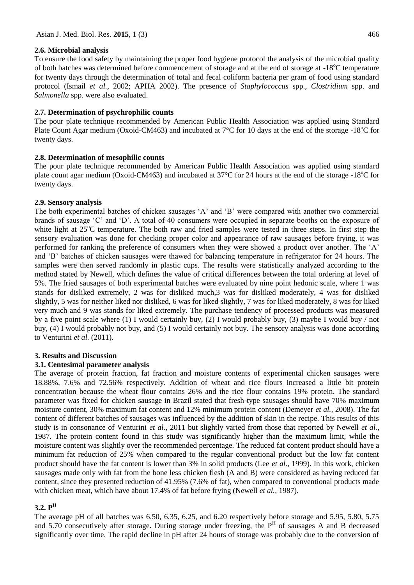#### **2.6. Microbial analysis**

To ensure the food safety by maintaining the proper food hygiene protocol the analysis of the microbial quality of both batches was determined before commencement of storage and at the end of storage at  $-18^{\circ}$ C temperature for twenty days through the determination of total and fecal coliform bacteria per gram of food using standard protocol (Ismail *et al.,* 2002; APHA 2002). The presence of *Staphylococcus* spp., *Clostridium* spp. and *Salmonella* spp. were also evaluated.

#### **2.7. Determination of psychrophilic counts**

The pour plate technique recommended by American Public Health Association was applied using Standard Plate Count Agar medium (Oxoid-CM463) and incubated at  $7^{\circ}$ C for 10 days at the end of the storage -18<sup>o</sup>C for twenty days.

#### **2.8. Determination of mesophilic counts**

The pour plate technique recommended by American Public Health Association was applied using standard plate count agar medium (Oxoid-CM463) and incubated at  $37^{\circ}$ C for 24 hours at the end of the storage -18<sup>o</sup>C for twenty days.

#### **2.9. Sensory analysis**

The both experimental batches of chicken sausages 'A' and 'B' were compared with another two commercial brands of sausage 'C' and 'D'. A total of 40 consumers were occupied in separate booths on the exposure of white light at  $25^{\circ}$ C temperature. The both raw and fried samples were tested in three steps. In first step the sensory evaluation was done for checking proper color and appearance of raw sausages before frying, it was performed for ranking the preference of consumers when they were showed a product over another. The 'A' and 'B' batches of chicken sausages were thawed for balancing temperature in refrigerator for 24 hours. The samples were then served randomly in plastic cups. The results were statistically analyzed according to the method stated by Newell, which defines the value of critical differences between the total ordering at level of 5%. The fried sausages of both experimental batches were evaluated by nine point hedonic scale, where 1 was stands for disliked extremely, 2 was for disliked much,3 was for disliked moderately, 4 was for disliked slightly, 5 was for neither liked nor disliked, 6 was for liked slightly, 7 was for liked moderately, 8 was for liked very much and 9 was stands for liked extremely. The purchase tendency of processed products was measured by a five point scale where (1) I would certainly buy, (2) I would probably buy, (3) maybe I would buy / not buy, (4) I would probably not buy, and (5) I would certainly not buy. The sensory analysis was done according to Venturini *et al.* (2011).

## **3. Results and Discussion**

## **3.1. Centesimal parameter analysis**

The average of protein fraction, fat fraction and moisture contents of experimental chicken sausages were 18.88%, 7.6% and 72.56% respectively. Addition of wheat and rice flours increased a little bit protein concentration because the wheat flour contains 26% and the rice flour contains 19% protein. The standard parameter was fixed for chicken sausage in Brazil stated that fresh-type sausages should have 70% maximum moisture content, 30% maximum fat content and 12% minimum protein content (Demeyer *et al.,* 2008). The fat content of different batches of sausages was influenced by the addition of skin in the recipe. This results of this study is in consonance of Venturini *et al.,* 2011 but slightly varied from those that reported by Newell *et al.,* 1987. The protein content found in this study was significantly higher than the maximum limit, while the moisture content was slightly over the recommended percentage. The reduced fat content product should have a minimum fat reduction of 25% when compared to the regular conventional product but the low fat content product should have the fat content is lower than 3% in solid products (Lee *et al.,* 1999). In this work, chicken sausages made only with fat from the bone less chicken flesh (A and B) were considered as having reduced fat content, since they presented reduction of 41.95% (7.6% of fat), when compared to conventional products made with chicken meat, which have about 17.4% of fat before frying (Newell *et al.,* 1987).

## **3.2. P H**

The average pH of all batches was 6.50, 6.35, 6.25, and 6.20 respectively before storage and 5.95, 5.80, 5.75 and 5.70 consecutively after storage. During storage under freezing, the  $P<sup>H</sup>$  of sausages A and B decreased significantly over time. The rapid decline in pH after 24 hours of storage was probably due to the conversion of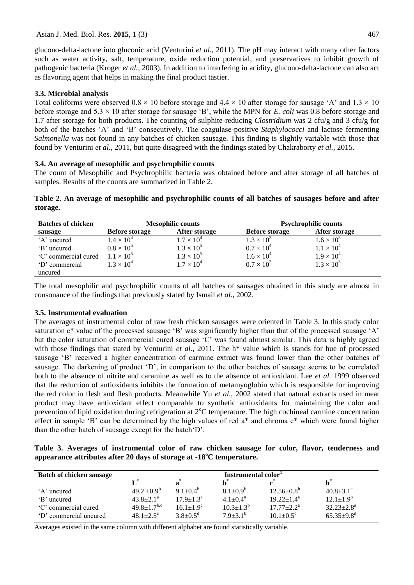glucono-delta-lactone into gluconic acid (Venturini *et al.,* 2011). The pH may interact with many other factors such as water activity, salt, temperature, oxide reduction potential, and preservatives to inhibit growth of pathogenic bacteria (Kroger *et al.,* 2003). In addition to interfering in acidity, glucono-delta-lactone can also act as flavoring agent that helps in making the final product tastier.

#### **3.3. Microbial analysis**

Total coliforms were observed  $0.8 \times 10$  before storage and  $4.4 \times 10$  after storage for sausage 'A' and  $1.3 \times 10$ before storage and 5.3 × 10 after storage for sausage 'B', while the MPN for *E. coli* was 0.8 before storage and 1.7 after storage for both products. The counting of sulphite-reducing *Clostridium* was 2 cfu/g and 3 cfu/g for both of the batches 'A' and 'B' consecutively. The coagulase-positive *Staphylococci* and lactose fermenting *Salmonella* was not found in any batches of chicken sausage. This finding is slightly variable with those that found by Venturini *et al.,* 2011, but quite disagreed with the findings stated by Chakraborty *et al.,* 2015.

#### **3.4. An average of mesophilic and psychrophilic counts**

The count of Mesophilic and Psychrophilic bacteria was obtained before and after storage of all batches of samples. Results of the counts are summarized in Table 2.

**Table 2. An average of mesophilic and psychrophilic counts of all batches of sausages before and after storage.**

| <b>Batches of chicken</b> | <b>Mesophilic counts</b> |                     | <b>Psychrophilic counts</b> |                     |  |
|---------------------------|--------------------------|---------------------|-----------------------------|---------------------|--|
| sausage                   | <b>Before storage</b>    | After storage       | <b>Before storage</b>       | After storage       |  |
| 'A' uncured               | $1.4 \times 10^{4}$      | $1.7 \times 10^{4}$ | $1.3 \times 10^{3}$         | $1.6 \times 10^{3}$ |  |
| 'B' uncured               | $0.8 \times 10^5$        | $1.3 \times 10^{5}$ | $0.7 \times 10^{4}$         | $1.1 \times 10^{4}$ |  |
| 'C' commercial cured      | $1.1 \times 10^{5}$      | $1.3 \times 10^{5}$ | $1.6 \times 10^{4}$         | $1.9 \times 10^{4}$ |  |
| 'D' commercial            | $1.3 \times 10^{4}$      | $1.7 \times 10^{4}$ | $0.7 \times 10^{3}$         | $1.3 \times 10^{3}$ |  |
| uncured                   |                          |                     |                             |                     |  |

The total mesophilic and psychrophilic counts of all batches of sausages obtained in this study are almost in consonance of the findings that previously stated by Ismail *et al.,* 2002.

#### **3.5. Instrumental evaluation**

The averages of instrumental color of raw fresh chicken sausages were oriented in Table 3. In this study color saturation c<sup>\*</sup> value of the processed sausage 'B' was significantly higher than that of the processed sausage 'A' but the color saturation of commercial cured sausage 'C' was found almost similar. This data is highly agreed with those findings that stated by Venturini *et al.*, 2011. The h<sup>\*</sup> value which is stands for hue of processed sausage 'B' received a higher concentration of carmine extract was found lower than the other batches of sausage. The darkening of product 'D', in comparison to the other batches of sausage seems to be correlated both to the absence of nitrite and caramine as well as to the absence of antioxidant. Lee *et al.* 1999 observed that the reduction of antioxidants inhibits the formation of metamyoglobin which is responsible for improving the red color in flesh and flesh products. Meanwhile Yu *et al.,* 2002 stated that natural extracts used in meat product may have antioxidant effect comparable to synthetic antioxidants for maintaining the color and prevention of lipid oxidation during refrigeration at  $2^{\circ}C$  temperature. The high cochineal carmine concentration effect in sample 'B' can be determined by the high values of red a\* and chroma c\* which were found higher than the other batch of sausage except for the batch'D'.

**Table 3. Averages of instrumental color of raw chicken sausage for color, flavor, tenderness and appearance attributes after 20 days of storage at -18<sup>o</sup>C temperature.**

| <b>Batch of chicken sausage</b> | Instrumental color <sup>1</sup> |                     |                       |                         |                              |  |
|---------------------------------|---------------------------------|---------------------|-----------------------|-------------------------|------------------------------|--|
|                                 |                                 |                     |                       |                         |                              |  |
| 'A' uncured                     | $49.2 \pm 0.9^b$                | $9.1 + 0.4^{\circ}$ | $8.1 \pm 0.9^{\circ}$ | $12.56 \pm 0.8^{\circ}$ | $40.8 \pm 3.1$ °             |  |
| 'B' uncured                     | $43.8 \pm 2.1^a$                | $17.9 + 1.3a$       | $4.1 + 0.4^a$         | $19.22 + 1.4^a$         | $12.1 \pm 1.9^b$             |  |
| 'C' commercial cured            | $49.8 \pm 1.7$ <sup>b,c</sup>   | $16.1 + 1.9^c$      | $10.3 \pm 1.3^{b}$    | $17.77 + 2.2^a$         | $32.23 \pm 2.8^{\text{a}}$   |  |
| 'D' commercial uncured          | $48.1 + 2.5^{\circ}$            | $3.8 \pm 0.5^d$     | $7.9 \pm 3.1^{\rm b}$ | $10.1 + 0.5^{\circ}$    | $65.35 \pm 9.8$ <sup>d</sup> |  |

Averages existed in the same column with different alphabet are found statistically variable.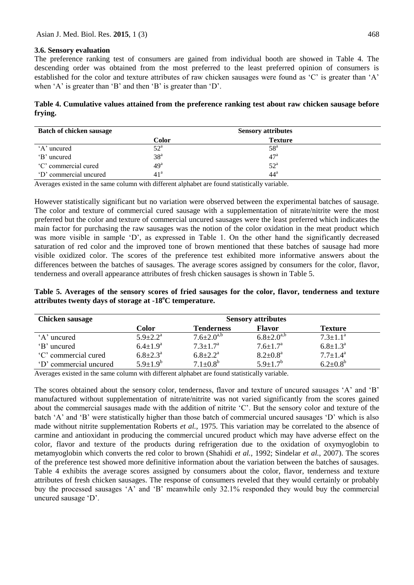#### **3.6. Sensory evaluation**

The preference ranking test of consumers are gained from individual booth are showed in Table 4. The descending order was obtained from the most preferred to the least preferred opinion of consumers is established for the color and texture attributes of raw chicken sausages were found as 'C' is greater than 'A' when 'A' is greater than 'B' and then 'B' is greater than 'D'.

**Table 4. Cumulative values attained from the preference ranking test about raw chicken sausage before frying.**

| <b>Batch of chicken sausage</b> |                 | <b>Sensory attributes</b> |  |  |  |
|---------------------------------|-----------------|---------------------------|--|--|--|
|                                 | Color           | <b>Texture</b>            |  |  |  |
| 'A' uncured                     | $52^{\circ}$    | 58 <sup>a</sup>           |  |  |  |
| 'B' uncured                     | 38 <sup>a</sup> | $47^{\rm a}$              |  |  |  |
| 'C' commercial cured            | 49 <sup>a</sup> | $52^{\circ}$              |  |  |  |
| 'D' commercial uncured          | 41 <sup>a</sup> | $44^{\mathrm{a}}$         |  |  |  |

Averages existed in the same column with different alphabet are found statistically variable.

However statistically significant but no variation were observed between the experimental batches of sausage. The color and texture of commercial cured sausage with a supplementation of nitrate/nitrite were the most preferred but the color and texture of commercial uncured sausages were the least preferred which indicates the main factor for purchasing the raw sausages was the notion of the color oxidation in the meat product which was more visible in sample 'D', as expressed in Table 1. On the other hand the significantly decreased saturation of red color and the improved tone of brown mentioned that these batches of sausage had more visible oxidized color. The scores of the preference test exhibited more informative answers about the differences between the batches of sausages. The average scores assigned by consumers for the color, flavor, tenderness and overall appearance attributes of fresh chicken sausages is shown in Table 5.

**Table 5. Averages of the sensory scores of fried sausages for the color, flavor, tenderness and texture attributes twenty days of storage at -18<sup>o</sup>C temperature.**

| <b>Chicken sausage</b> | <b>Sensory attributes</b>  |                          |                          |                       |  |  |
|------------------------|----------------------------|--------------------------|--------------------------|-----------------------|--|--|
|                        | Color                      | <b>Tenderness</b>        | <b>Flavor</b>            | <b>Texture</b>        |  |  |
| 'A' uncured            | $5.9 \pm 2.2^{\mathrm{a}}$ | $7.6 \pm 2.0^{a,b}$      | $6.8 \pm 2.0^{a,b}$      | $7.3 \pm 1.1^{\circ}$ |  |  |
| 'B' uncured            | $6.4 \pm 1.9^{\rm a}$      | $7.3 \pm 1.7^{\rm a}$    | $7.6 \pm 1.7^{\rm a}$    | $6.8 \pm 1.3^{\circ}$ |  |  |
| 'C' commercial cured   | $6.8 \pm 2.3^{\circ}$      | $6.8 \pm 2.2^{\text{a}}$ | $8.2 \pm 0.8^{\text{a}}$ | $7.7 \pm 1.4^{\circ}$ |  |  |
| 'D' commercial uncured | $5.9 \pm 1.9^b$            | $7.1 \pm 0.8^b$          | $5.9 \pm 1.7^b$          | $6.2{\pm}0.8^b$       |  |  |

Averages existed in the same column with different alphabet are found statistically variable.

The scores obtained about the sensory color, tenderness, flavor and texture of uncured sausages 'A' and 'B' manufactured without supplementation of nitrate/nitrite was not varied significantly from the scores gained about the commercial sausages made with the addition of nitrite 'C'. But the sensory color and texture of the batch 'A' and 'B' were statistically higher than those batch of commercial uncured sausages 'D' which is also made without nitrite supplementation Roberts *et al.,* 1975. This variation may be correlated to the absence of carmine and antioxidant in producing the commercial uncured product which may have adverse effect on the color, flavor and texture of the products during refrigeration due to the oxidation of oxymyoglobin to metamyoglobin which converts the red color to brown (Shahidi *et al.,* 1992; Sindelar *et al.,* 2007). The scores of the preference test showed more definitive information about the variation between the batches of sausages. Table 4 exhibits the average scores assigned by consumers about the color, flavor, tenderness and texture attributes of fresh chicken sausages. The response of consumers reveled that they would certainly or probably buy the processed sausages 'A' and 'B' meanwhile only 32.1% responded they would buy the commercial uncured sausage 'D'.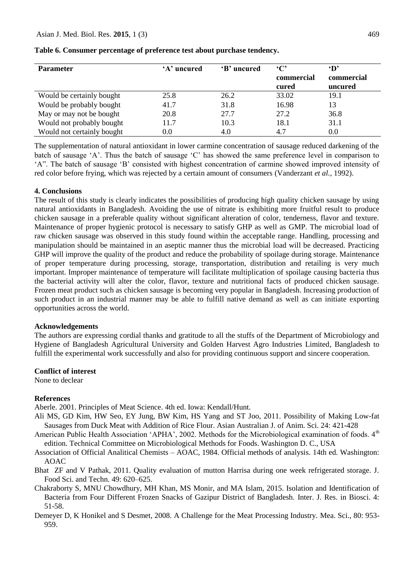| <b>Parameter</b>           | 'A' uncured | 'B' uncured | $\cdot$ C' | $\mathbf{D}^{\prime}$ |
|----------------------------|-------------|-------------|------------|-----------------------|
|                            |             |             | commercial | commercial            |
|                            |             |             | cured      | uncured               |
| Would be certainly bought  | 25.8        | 26.2        | 33.02      | 19.1                  |
| Would be probably bought   | 41.7        | 31.8        | 16.98      | 13                    |
| May or may not be bought   | 20.8        | 27.7        | 27.2       | 36.8                  |
| Would not probably bought  | 11.7        | 10.3        | 18.1       | 31.1                  |
| Would not certainly bought | $0.0\,$     | 4.0         | 4.7        | 0.0                   |

**Table 6. Consumer percentage of preference test about purchase tendency.**

The supplementation of natural antioxidant in lower carmine concentration of sausage reduced darkening of the batch of sausage 'A'. Thus the batch of sausage 'C' has showed the same preference level in comparison to 'A". The batch of sausage 'B' consisted with highest concentration of carmine showed improved intensity of red color before frying, which was rejected by a certain amount of consumers (Vanderzant *et al.,* 1992).

#### **4. Conclusions**

The result of this study is clearly indicates the possibilities of producing high quality chicken sausage by using natural antioxidants in Bangladesh. Avoiding the use of nitrate is exhibiting more fruitful result to produce chicken sausage in a preferable quality without significant alteration of color, tenderness, flavor and texture. Maintenance of proper hygienic protocol is necessary to satisfy GHP as well as GMP. The microbial load of raw chicken sausage was observed in this study found within the acceptable range. Handling, processing and manipulation should be maintained in an aseptic manner thus the microbial load will be decreased. Practicing GHP will improve the quality of the product and reduce the probability of spoilage during storage. Maintenance of proper temperature during processing, storage, transportation, distribution and retailing is very much important. Improper maintenance of temperature will facilitate multiplication of spoilage causing bacteria thus the bacterial activity will alter the color, flavor, texture and nutritional facts of produced chicken sausage. Frozen meat product such as chicken sausage is becoming very popular in Bangladesh. Increasing production of such product in an industrial manner may be able to fulfill native demand as well as can initiate exporting opportunities across the world.

#### **Acknowledgements**

The authors are expressing cordial thanks and gratitude to all the stuffs of the Department of Microbiology and Hygiene of Bangladesh Agricultural University and Golden Harvest Agro Industries Limited, Bangladesh to fulfill the experimental work successfully and also for providing continuous support and sincere cooperation.

#### **Conflict of interest**

None to declear

#### **References**

Aberle. 2001. Principles of Meat Science. 4th ed. Iowa: Kendall/Hunt.

- Ali MS, GD Kim, HW Seo, EY Jung, BW Kim, HS Yang and ST Joo, 2011. Possibility of Making Low-fat Sausages from Duck Meat with Addition of Rice Flour. Asian Australian J. of Anim. Sci. 24: 421-428
- American Public Health Association 'APHA', 2002. Methods for the Microbiological examination of foods. 4<sup>th</sup> edition. Technical Committee on Microbiological Methods for Foods. Washington D. C., USA
- Association of Official Analitical Chemists AOAC, 1984. Official methods of analysis. 14th ed. Washington: AOAC
- Bhat ZF and V Pathak, 2011. Quality evaluation of mutton Harrisa during one week refrigerated storage. J. Food Sci. and Techn. 49: 620–625.
- Chakraborty S, MNU Chowdhury, MH Khan, MS Monir, and MA Islam, 2015. Isolation and Identification of Bacteria from Four Different Frozen Snacks of Gazipur District of Bangladesh. Inter. J. Res. in Biosci. 4: 51-58.
- Demeyer D, K Honikel and S Desmet, 2008. A Challenge for the Meat Processing Industry. Mea. Sci., 80: 953- 959.